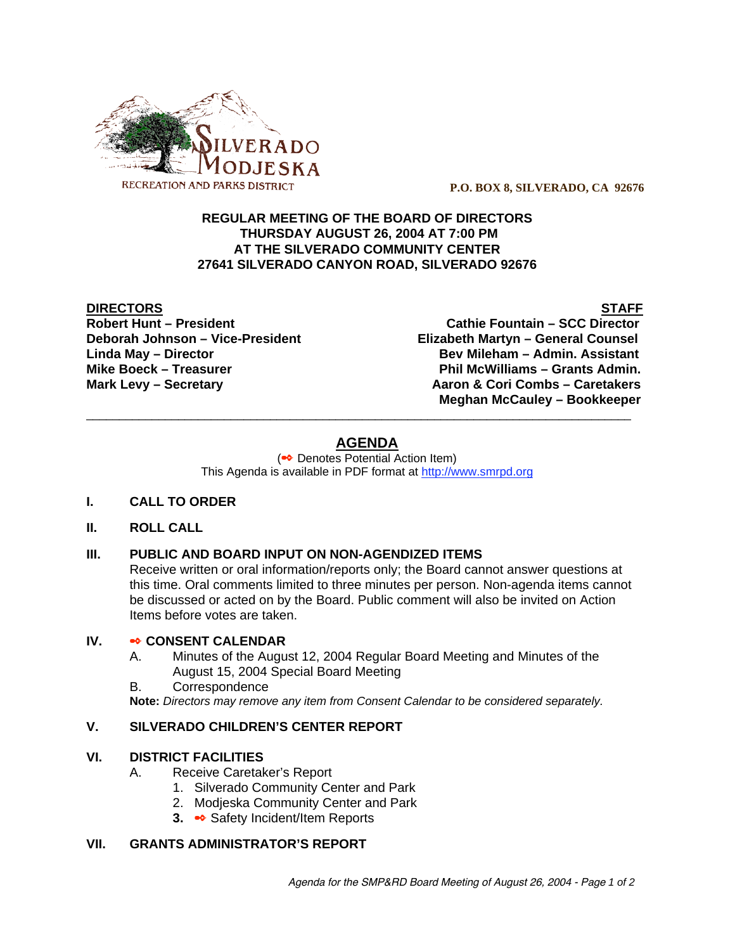

 **P.O. BOX 8, SILVERADO, CA 92676**

### **REGULAR MEETING OF THE BOARD OF DIRECTORS THURSDAY AUGUST 26, 2004 AT 7:00 PM AT THE SILVERADO COMMUNITY CENTER 27641 SILVERADO CANYON ROAD, SILVERADO 92676**

**DIRECTORS** STAFF

**Robert Hunt – President Cathie Fountain – SCC Director Deborah Johnson – Vice-President Elizabeth Martyn – General Counsel Linda May – Director Bev Mileham – Admin. Assistant** Mike Boeck – Treasurer **Phil McWilliams – Grants Admin. Mark Levy – Secretary Combs – Caretakers** Aaron & Cori Combs – Caretakers  **Meghan McCauley – Bookkeeper**

# **AGENDA**

\_\_\_\_\_\_\_\_\_\_\_\_\_\_\_\_\_\_\_\_\_\_\_\_\_\_\_\_\_\_\_\_\_\_\_\_\_\_\_\_\_\_\_\_\_\_\_\_\_\_\_\_\_\_\_\_\_\_\_\_\_\_\_\_\_\_\_\_\_\_\_\_\_\_\_\_\_\_\_\_\_\_\_

(<sup>●●</sup> Denotes Potential Action Item) This Agenda is available in PDF format at http://www.smrpd.org

### **I. CALL TO ORDER**

### **II. ROLL CALL**

### **III. PUBLIC AND BOARD INPUT ON NON-AGENDIZED ITEMS**

Receive written or oral information/reports only; the Board cannot answer questions at this time. Oral comments limited to three minutes per person. Non-agenda items cannot be discussed or acted on by the Board. Public comment will also be invited on Action Items before votes are taken.

## **IV.** • CONSENT CALENDAR

- A. Minutes of the August 12, 2004 Regular Board Meeting and Minutes of the August 15, 2004 Special Board Meeting
- B. Correspondence

**Note:** *Directors may remove any item from Consent Calendar to be considered separately.*

### **V. SILVERADO CHILDREN'S CENTER REPORT**

#### **VI. DISTRICT FACILITIES**

- A. Receive Caretaker's Report
	- 1. Silverado Community Center and Park
	- 2. Modjeska Community Center and Park
	- **3. Safety Incident/Item Reports**

#### **VII. GRANTS ADMINISTRATOR'S REPORT**